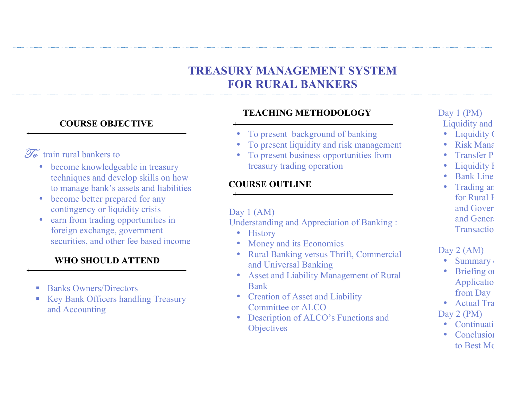# **TREASURY MANAGEMENT SYSTEM FOR RURAL BANKERS**

### **COURSE OBJECTIVE**

## $\widetilde{\mathscr{I}_{\alpha}}$  train rural bankers to

- become knowledgeable in treasury techniques and develop skills on how to manage bank's assets and liabilities
- become better prepared for any contingency or liquidity crisis
- earn from trading opportunities in foreign exchange, government securities, and other fee based income

### **WHO SHOULD ATTEND**

- Banks Owners/Directors
- Key Bank Officers handling Treasury and Accounting

### **TEACHING METHODOLOGY**

- To present background of banking
- To present liquidity and risk management
- To present business opportunities from treasury trading operation

## **COURSE OUTLINE**

### Day 1 (AM)

Understanding and Appreciation of Banking :

- History
- Money and its Economics
- Rural Banking versus Thrift, Commercial and Universal Banking
- Asset and Liability Management of Rural Bank
- Creation of Asset and Liability Committee or ALCO
- Description of ALCO's Functions and **Objectives**

# Day 1 (PM)

Liquidity and

- Liquidity (
- Risk Mana
- **Transfer P**
- Liquidity I
- $\cdot$  Bank Line
- Trading an for Rural F and Government and Genera Transaction

### Day 2 (AM)

- **Summary**
- **Briefing on** Applicatio from Day
- Actual Tra Day 2 (PM)
	- $\bullet$  Continuati
		- Conclusion to Best Mo